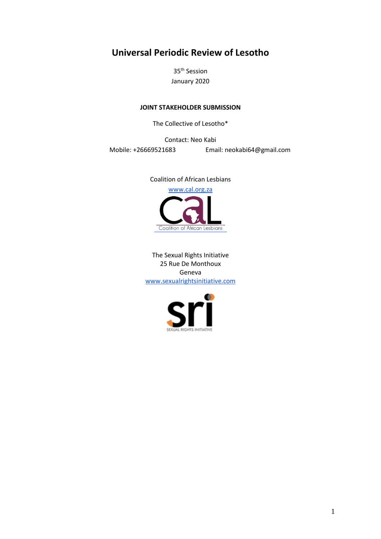# **Universal Periodic Review of Lesotho**

35th Session January 2020

## **JOINT STAKEHOLDER SUBMISSION**

The Collective of Lesotho\*

Contact: Neo Kabi

Mobile: +26669521683 Email: neokabi64@gmail.com

Coalition of African Lesbians [www.cal.org.za](http://www.cal.org.za/) Coalition of African Lesbians

The Sexual Rights Initiative 25 Rue De Monthoux Geneva [www.sexualrightsinitiative.com](http://www.sexualrightsinitiative.com/)

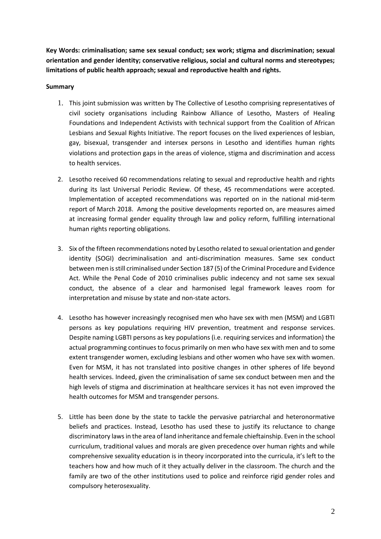**Key Words: criminalisation; same sex sexual conduct; sex work; stigma and discrimination; sexual orientation and gender identity; conservative religious, social and cultural norms and stereotypes; limitations of public health approach; sexual and reproductive health and rights.**

### **Summary**

- 1. This joint submission was written by The Collective of Lesotho comprising representatives of civil society organisations including Rainbow Alliance of Lesotho, Masters of Healing Foundations and Independent Activists with technical support from the Coalition of African Lesbians and Sexual Rights Initiative. The report focuses on the lived experiences of lesbian, gay, bisexual, transgender and intersex persons in Lesotho and identifies human rights violations and protection gaps in the areas of violence, stigma and discrimination and access to health services.
- 2. Lesotho received 60 recommendations relating to sexual and reproductive health and rights during its last Universal Periodic Review. Of these, 45 recommendations were accepted. Implementation of accepted recommendations was reported on in the national mid-term report of March 2018. Among the positive developments reported on, are measures aimed at increasing formal gender equality through law and policy reform, fulfilling international human rights reporting obligations.
- 3. Six of the fifteen recommendations noted by Lesotho related to sexual orientation and gender identity (SOGI) decriminalisation and anti-discrimination measures. Same sex conduct between men is still criminalised under Section 187 (5) of the Criminal Procedure and Evidence Act. While the Penal Code of 2010 criminalises public indecency and not same sex sexual conduct, the absence of a clear and harmonised legal framework leaves room for interpretation and misuse by state and non-state actors.
- 4. Lesotho has however increasingly recognised men who have sex with men (MSM) and LGBTI persons as key populations requiring HIV prevention, treatment and response services. Despite naming LGBTI persons as key populations (i.e. requiring services and information) the actual programming continues to focus primarily on men who have sex with men and to some extent transgender women, excluding lesbians and other women who have sex with women. Even for MSM, it has not translated into positive changes in other spheres of life beyond health services. Indeed, given the criminalisation of same sex conduct between men and the high levels of stigma and discrimination at healthcare services it has not even improved the health outcomes for MSM and transgender persons.
- 5. Little has been done by the state to tackle the pervasive patriarchal and heteronormative beliefs and practices. Instead, Lesotho has used these to justify its reluctance to change discriminatory laws in the area of land inheritance and female chieftainship. Even in the school curriculum, traditional values and morals are given precedence over human rights and while comprehensive sexuality education is in theory incorporated into the curricula, it's left to the teachers how and how much of it they actually deliver in the classroom. The church and the family are two of the other institutions used to police and reinforce rigid gender roles and compulsory heterosexuality.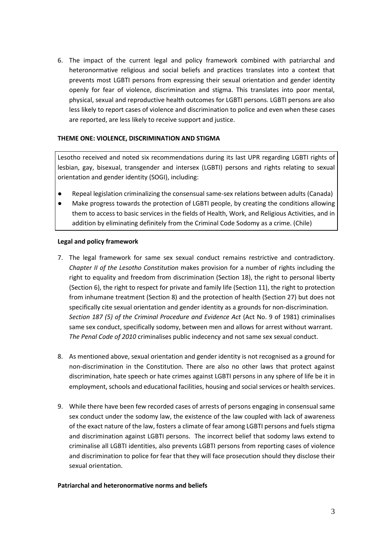6. The impact of the current legal and policy framework combined with patriarchal and heteronormative religious and social beliefs and practices translates into a context that prevents most LGBTI persons from expressing their sexual orientation and gender identity openly for fear of violence, discrimination and stigma. This translates into poor mental, physical, sexual and reproductive health outcomes for LGBTI persons. LGBTI persons are also less likely to report cases of violence and discrimination to police and even when these cases are reported, are less likely to receive support and justice.

#### **THEME ONE: VIOLENCE, DISCRIMINATION AND STIGMA**

Lesotho received and noted six recommendations during its last UPR regarding LGBTI rights of lesbian, gay, bisexual, transgender and intersex (LGBTI) persons and rights relating to sexual orientation and gender identity (SOGI), including:

- Repeal legislation criminalizing the consensual same-sex relations between adults (Canada)
- Make progress towards the protection of LGBTI people, by creating the conditions allowing them to access to basic services in the fields of Health, Work, and Religious Activities, and in addition by eliminating definitely from the Criminal Code Sodomy as a crime. (Chile)

#### **Legal and policy framework**

- 7. The legal framework for same sex sexual conduct remains restrictive and contradictory. *Chapter II of the Lesotho Constitution* makes provision for a number of rights including the right to equality and freedom from discrimination (Section 18), the right to personal liberty (Section 6), the right to respect for private and family life (Section 11), the right to protection from inhumane treatment (Section 8) and the protection of health (Section 27) but does not specifically cite sexual orientation and gender identity as a grounds for non-discrimination. *Section 187 (5) of the Criminal Procedure and Evidence Act* (Act No. 9 of 1981) criminalises same sex conduct, specifically sodomy, between men and allows for arrest without warrant. *The Penal Code of 2010* criminalises public indecency and not same sex sexual conduct.
- 8. As mentioned above, sexual orientation and gender identity is not recognised as a ground for non-discrimination in the Constitution. There are also no other laws that protect against discrimination, hate speech or hate crimes against LGBTI persons in any sphere of life be it in employment, schools and educational facilities, housing and social services or health services.
- 9. While there have been few recorded cases of arrests of persons engaging in consensual same sex conduct under the sodomy law, the existence of the law coupled with lack of awareness of the exact nature of the law, fosters a climate of fear among LGBTI persons and fuels stigma and discrimination against LGBTI persons. The incorrect belief that sodomy laws extend to criminalise all LGBTI identities, also prevents LGBTI persons from reporting cases of violence and discrimination to police for fear that they will face prosecution should they disclose their sexual orientation.

#### **Patriarchal and heteronormative norms and beliefs**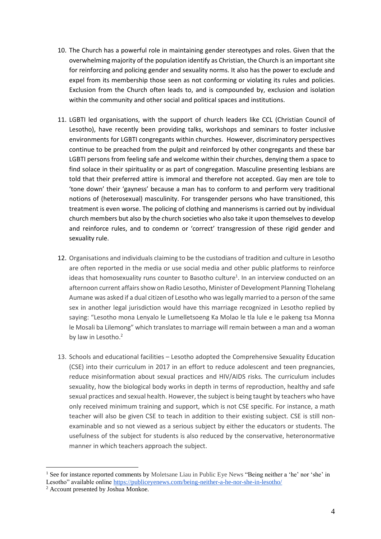- 10. The Church has a powerful role in maintaining gender stereotypes and roles. Given that the overwhelming majority of the population identify as Christian, the Church is an important site for reinforcing and policing gender and sexuality norms. It also has the power to exclude and expel from its membership those seen as not conforming or violating its rules and policies. Exclusion from the Church often leads to, and is compounded by, exclusion and isolation within the community and other social and political spaces and institutions.
- 11. LGBTI led organisations, with the support of church leaders like CCL (Christian Council of Lesotho), have recently been providing talks, workshops and seminars to foster inclusive environments for LGBTI congregants within churches. However, discriminatory perspectives continue to be preached from the pulpit and reinforced by other congregants and these bar LGBTI persons from feeling safe and welcome within their churches, denying them a space to find solace in their spirituality or as part of congregation. Masculine presenting lesbians are told that their preferred attire is immoral and therefore not accepted. Gay men are tole to 'tone down' their 'gayness' because a man has to conform to and perform very traditional notions of (heterosexual) masculinity. For transgender persons who have transitioned, this treatment is even worse. The policing of clothing and mannerisms is carried out by individual church members but also by the church societies who also take it upon themselves to develop and reinforce rules, and to condemn or 'correct' transgression of these rigid gender and sexuality rule.
- 12. Organisations and individuals claiming to be the custodians of tradition and culture in Lesotho are often reported in the media or use social media and other public platforms to reinforce ideas that homosexuality runs counter to Basotho culture<sup>1</sup>. In an interview conducted on an afternoon current affairs show on Radio Lesotho, Minister of Development Planning Tlohelang Aumane was asked if a dual citizen of Lesotho who was legally married to a person of the same sex in another legal jurisdiction would have this marriage recognized in Lesotho replied by saying: "Lesotho mona Lenyalo le Lumelletsoeng Ka Molao le tla lule e le pakeng tsa Monna le Mosali ba Lilemong" which translates to marriage will remain between a man and a woman by law in Lesotho.<sup>2</sup>
- 13. Schools and educational facilities Lesotho adopted the Comprehensive Sexuality Education (CSE) into their curriculum in 2017 in an effort to reduce adolescent and teen pregnancies, reduce misinformation about sexual practices and HIV/AIDS risks. The curriculum includes sexuality, how the biological body works in depth in terms of reproduction, healthy and safe sexual practices and sexual health. However, the subject is being taught by teachers who have only received minimum training and support, which is not CSE specific. For instance, a math teacher will also be given CSE to teach in addition to their existing subject. CSE is still nonexaminable and so not viewed as a serious subject by either the educators or students. The usefulness of the subject for students is also reduced by the conservative, heteronormative manner in which teachers approach the subject.

<sup>&</sup>lt;sup>1</sup> See for instance reported comments by Moletsane Liau in Public Eye News "Being neither a 'he' nor 'she' in Lesotho" available online<https://publiceyenews.com/being-neither-a-he-nor-she-in-lesotho/>

<sup>2</sup> Account presented by Joshua Monkoe.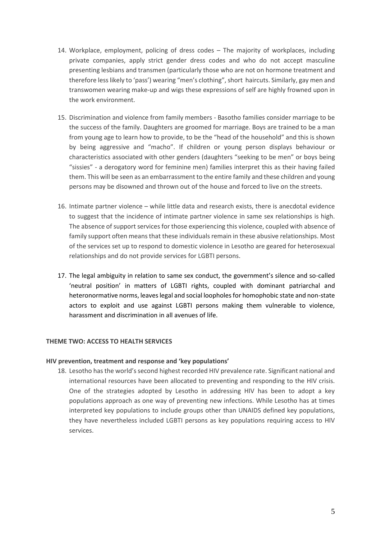- 14. Workplace, employment, policing of dress codes The majority of workplaces, including private companies, apply strict gender dress codes and who do not accept masculine presenting lesbians and transmen (particularly those who are not on hormone treatment and therefore less likely to 'pass') wearing "men's clothing", short haircuts. Similarly, gay men and transwomen wearing make-up and wigs these expressions of self are highly frowned upon in the work environment.
- 15. Discrimination and violence from family members Basotho families consider marriage to be the success of the family. Daughters are groomed for marriage. Boys are trained to be a man from young age to learn how to provide, to be the "head of the household" and this is shown by being aggressive and "macho". If children or young person displays behaviour or characteristics associated with other genders (daughters "seeking to be men" or boys being "sissies" - a derogatory word for feminine men) families interpret this as their having failed them. This will be seen as an embarrassment to the entire family and these children and young persons may be disowned and thrown out of the house and forced to live on the streets.
- 16. Intimate partner violence while little data and research exists, there is anecdotal evidence to suggest that the incidence of intimate partner violence in same sex relationships is high. The absence of support services for those experiencing this violence, coupled with absence of family support often means that these individuals remain in these abusive relationships. Most of the services set up to respond to domestic violence in Lesotho are geared for heterosexual relationships and do not provide services for LGBTI persons.
- 17. The legal ambiguity in relation to same sex conduct, the government's silence and so-called 'neutral position' in matters of LGBTI rights, coupled with dominant patriarchal and heteronormative norms, leaves legal and social loopholes for homophobic state and non-state actors to exploit and use against LGBTI persons making them vulnerable to violence, harassment and discrimination in all avenues of life.

## **THEME TWO: ACCESS TO HEALTH SERVICES**

#### **HIV prevention, treatment and response and 'key populations'**

18. Lesotho has the world's second highest recorded HIV prevalence rate. Significant national and international resources have been allocated to preventing and responding to the HIV crisis. One of the strategies adopted by Lesotho in addressing HIV has been to adopt a key populations approach as one way of preventing new infections. While Lesotho has at times interpreted key populations to include groups other than UNAIDS defined key populations, they have nevertheless included LGBTI persons as key populations requiring access to HIV services.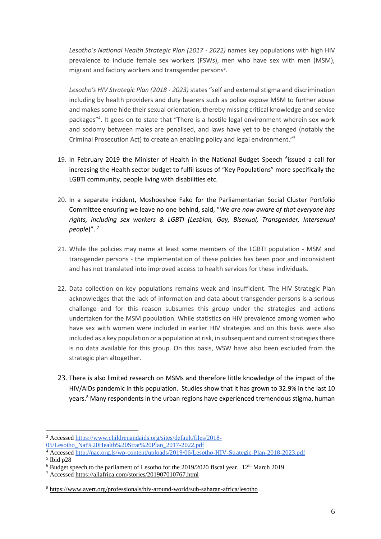*Lesotho's National Health Strategic Plan (2017 - 2022)* names key populations with high HIV prevalence to include female sex workers (FSWs), men who have sex with men (MSM), migrant and factory workers and transgender persons<sup>3</sup>.

*Lesotho's HIV Strategic Plan (2018 - 2023)* states "self and external stigma and discrimination including by health providers and duty bearers such as police expose MSM to further abuse and makes some hide their sexual orientation, thereby missing critical knowledge and service packages"<sup>4</sup> . It goes on to state that "There is a hostile legal environment wherein sex work and sodomy between males are penalised, and laws have yet to be changed (notably the Criminal Prosecution Act) to create an enabling policy and legal environment."<sup>5</sup>

- 19. In February 2019 the Minister of Health in the National Budget Speech <sup>6</sup>issued a call for increasing the Health sector budget to fulfil issues of "Key Populations" more specifically the LGBTI community, people living with disabilities etc.
- 20. In a separate incident, Moshoeshoe Fako for the Parliamentarian Social Cluster Portfolio Committee ensuring we leave no one behind, said, "*We are now aware of that everyone has rights, including sex workers & LGBTI (Lesbian, Gay, Bisexual, Transgender, Intersexual people*)". <sup>7</sup>
- 21. While the policies may name at least some members of the LGBTI population MSM and transgender persons - the implementation of these policies has been poor and inconsistent and has not translated into improved access to health services for these individuals.
- 22. Data collection on key populations remains weak and insufficient. The HIV Strategic Plan acknowledges that the lack of information and data about transgender persons is a serious challenge and for this reason subsumes this group under the strategies and actions undertaken for the MSM population. While statistics on HIV prevalence among women who have sex with women were included in earlier HIV strategies and on this basis were also included as a key population or a population at risk, in subsequent and current strategies there is no data available for this group. On this basis, WSW have also been excluded from the strategic plan altogether.
- 23. There is also limited research on MSMs and therefore little knowledge of the impact of the HIV/AIDs pandemic in this population. Studies show that it has grown to 32.9% in the last 10 years.<sup>8</sup> Many respondents in the urban regions have experienced tremendous stigma, human

 $\overline{a}$ 

<sup>3</sup> Accessed [https://www.childrenandaids.org/sites/default/files/2018-](https://www.childrenandaids.org/sites/default/files/2018-05/Lesotho_Nat%20Health%20Strat%20Plan_2017-2022.pdf)

[<sup>05/</sup>Lesotho\\_Nat%20Health%20Strat%20Plan\\_2017-2022.pdf](https://www.childrenandaids.org/sites/default/files/2018-05/Lesotho_Nat%20Health%20Strat%20Plan_2017-2022.pdf)

<sup>4</sup> Accessed<http://nac.org.ls/wp-content/uploads/2019/06/Lesotho-HIV-Strategic-Plan-2018-2023.pdf>

<sup>5</sup> Ibid p28

 $6$  Budget speech to the parliament of Lesotho for the 2019/2020 fiscal year. 12<sup>th</sup> March 2019

<sup>7</sup> Accessed<https://allafrica.com/stories/201907010767.html>

<sup>8</sup> <https://www.avert.org/professionals/hiv-around-world/sub-saharan-africa/lesotho>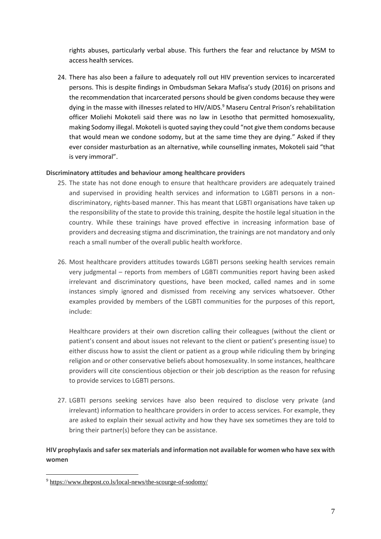rights abuses, particularly verbal abuse. This furthers the fear and reluctance by MSM to access health services.

24. There has also been a failure to adequately roll out HIV prevention services to incarcerated persons. This is despite findings in Ombudsman Sekara Mafisa's study (2016) on prisons and the recommendation that incarcerated persons should be given condoms because they were dying in the masse with illnesses related to HIV/AIDS.<sup>9</sup> Maseru Central Prison's rehabilitation officer Moliehi Mokoteli said there was no law in Lesotho that permitted homosexuality, making Sodomy illegal. Mokoteli is quoted saying they could "not give them condoms because that would mean we condone sodomy, but at the same time they are dying." Asked if they ever consider masturbation as an alternative, while counselling inmates, Mokoteli said "that is very immoral".

## **Discriminatory attitudes and behaviour among healthcare providers**

- 25. The state has not done enough to ensure that healthcare providers are adequately trained and supervised in providing health services and information to LGBTI persons in a nondiscriminatory, rights-based manner. This has meant that LGBTI organisations have taken up the responsibility of the state to provide this training, despite the hostile legal situation in the country. While these trainings have proved effective in increasing information base of providers and decreasing stigma and discrimination, the trainings are not mandatory and only reach a small number of the overall public health workforce.
- 26. Most healthcare providers attitudes towards LGBTI persons seeking health services remain very judgmental – reports from members of LGBTI communities report having been asked irrelevant and discriminatory questions, have been mocked, called names and in some instances simply ignored and dismissed from receiving any services whatsoever. Other examples provided by members of the LGBTI communities for the purposes of this report, include:

Healthcare providers at their own discretion calling their colleagues (without the client or patient's consent and about issues not relevant to the client or patient's presenting issue) to either discuss how to assist the client or patient as a group while ridiculing them by bringing religion and or other conservative beliefs about homosexuality. In some instances, healthcare providers will cite conscientious objection or their job description as the reason for refusing to provide services to LGBTI persons.

27. LGBTI persons seeking services have also been required to disclose very private (and irrelevant) information to healthcare providers in order to access services. For example, they are asked to explain their sexual activity and how they have sex sometimes they are told to bring their partner(s) before they can be assistance.

# **HIV prophylaxis and safer sex materials and information not available for women who have sex with women**

 $\overline{a}$ 

<sup>9</sup> <https://www.thepost.co.ls/local-news/the-scourge-of-sodomy/>